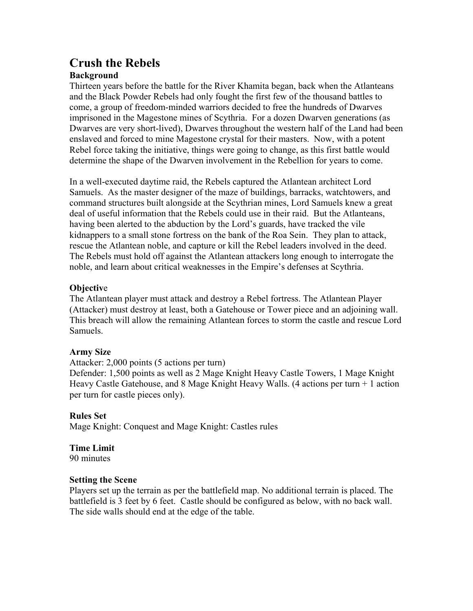# **Crush the Rebels**

#### **Background**

Thirteen years before the battle for the River Khamita began, back when the Atlanteans and the Black Powder Rebels had only fought the first few of the thousand battles to come, a group of freedom-minded warriors decided to free the hundreds of Dwarves imprisoned in the Magestone mines of Scythria. For a dozen Dwarven generations (as Dwarves are very short-lived), Dwarves throughout the western half of the Land had been enslaved and forced to mine Magestone crystal for their masters. Now, with a potent Rebel force taking the initiative, things were going to change, as this first battle would determine the shape of the Dwarven involvement in the Rebellion for years to come.

In a well-executed daytime raid, the Rebels captured the Atlantean architect Lord Samuels. As the master designer of the maze of buildings, barracks, watchtowers, and command structures built alongside at the Scythrian mines, Lord Samuels knew a great deal of useful information that the Rebels could use in their raid. But the Atlanteans, having been alerted to the abduction by the Lord's guards, have tracked the vile kidnappers to a small stone fortress on the bank of the Roa Sein. They plan to attack, rescue the Atlantean noble, and capture or kill the Rebel leaders involved in the deed. The Rebels must hold off against the Atlantean attackers long enough to interrogate the noble, and learn about critical weaknesses in the Empire's defenses at Scythria.

## **Objectiv**e

The Atlantean player must attack and destroy a Rebel fortress. The Atlantean Player (Attacker) must destroy at least, both a Gatehouse or Tower piece and an adjoining wall. This breach will allow the remaining Atlantean forces to storm the castle and rescue Lord Samuels.

#### **Army Size**

Attacker: 2,000 points (5 actions per turn)

Defender: 1,500 points as well as 2 Mage Knight Heavy Castle Towers, 1 Mage Knight Heavy Castle Gatehouse, and 8 Mage Knight Heavy Walls. (4 actions per turn + 1 action per turn for castle pieces only).

#### **Rules Set**

Mage Knight: Conquest and Mage Knight: Castles rules

# **Time Limit**

90 minutes

#### **Setting the Scene**

Players set up the terrain as per the battlefield map. No additional terrain is placed. The battlefield is 3 feet by 6 feet. Castle should be configured as below, with no back wall. The side walls should end at the edge of the table.